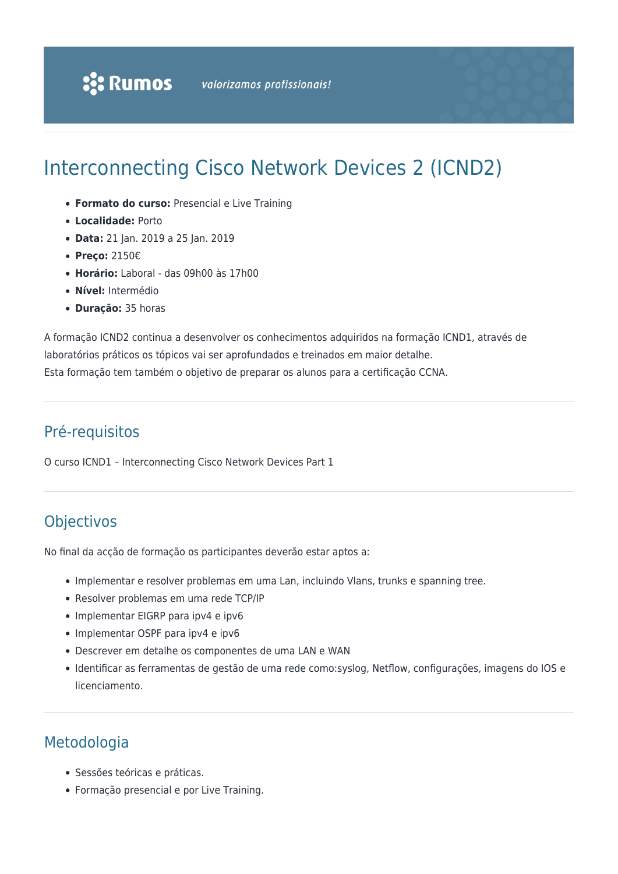# Interconnecting Cisco Network Devices 2 (ICND2)

- **Formato do curso:** Presencial e Live Training
- **Localidade:** Porto
- **Data:** 21 Jan. 2019 a 25 Jan. 2019
- **Preço:** 2150€
- **Horário:** Laboral das 09h00 às 17h00
- **Nível:** Intermédio
- **Duração:** 35 horas

A formação ICND2 continua a desenvolver os conhecimentos adquiridos na formação ICND1, através de laboratórios práticos os tópicos vai ser aprofundados e treinados em maior detalhe. Esta formação tem também o objetivo de preparar os alunos para a certificação CCNA.

### Pré-requisitos

O curso ICND1 – Interconnecting Cisco Network Devices Part 1

## Objectivos

No final da acção de formação os participantes deverão estar aptos a:

- Implementar e resolver problemas em uma Lan, incluindo Vlans, trunks e spanning tree.
- Resolver problemas em uma rede TCP/IP
- Implementar EIGRP para ipv4 e ipv6
- Implementar OSPF para ipv4 e ipv6
- Descrever em detalhe os componentes de uma LAN e WAN
- Identificar as ferramentas de gestão de uma rede como:syslog, Netflow, configurações, imagens do IOS e licenciamento.

# Metodologia

- Sessões teóricas e práticas.
- Formação presencial e por Live Training.